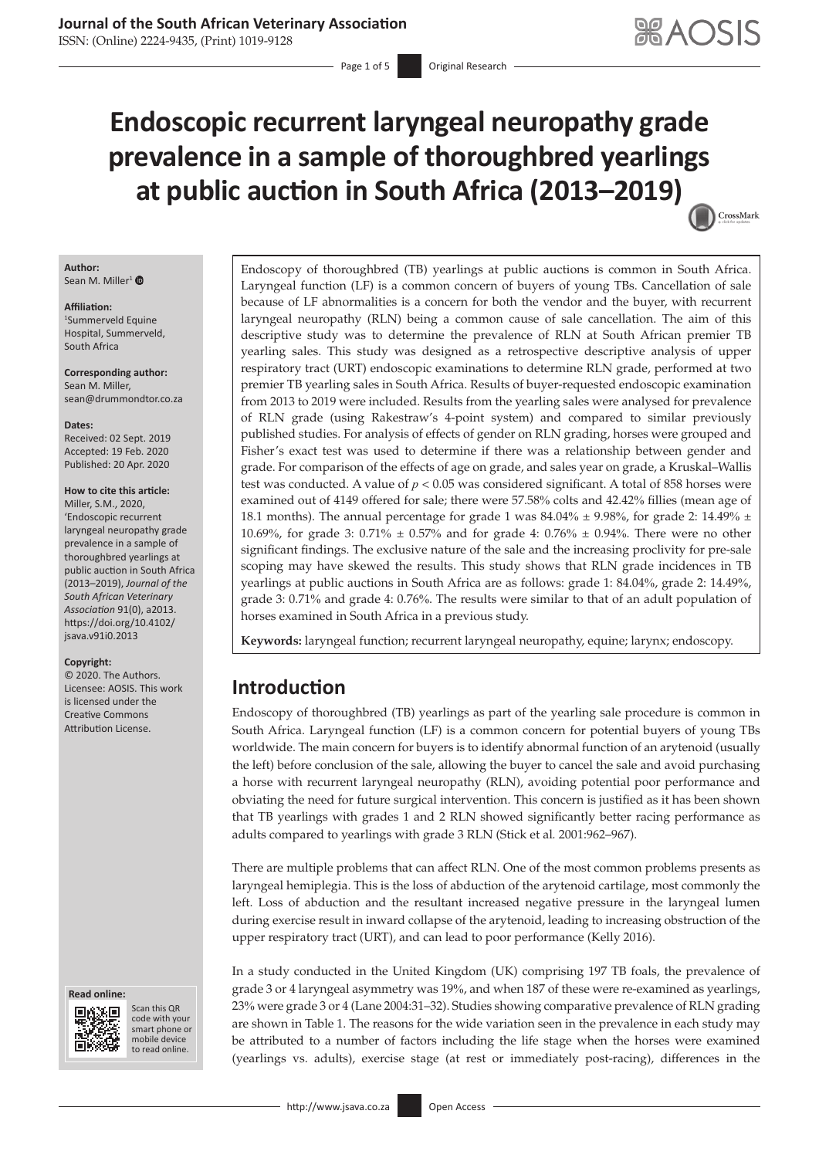ISSN: (Online) 2224-9435, (Print) 1019-9128

Page 1 of 5 **Original Research** 

# **Endoscopic recurrent laryngeal neuropathy grade prevalence in a sample of thoroughbred yearlings at public auction in South Africa (2013–2019)** CrossMark

**Author:** Sean M. Miller<sup>[1](https://orcid.org/0000-0001-7116-2400)</sup> <sup>O</sup>

#### **Affiliation:**

1 Summerveld Equine Hospital, Summerveld, South Africa

**Corresponding author:** Sean M. Miller, [sean@drummondtor.co.za](mailto:sean@drummondtor.co.za)

**Dates:** Received: 02 Sept. 2019 Accepted: 19 Feb. 2020 Published: 20 Apr. 2020

#### **How to cite this article:**

Miller, S.M., 2020, 'Endoscopic recurrent laryngeal neuropathy grade prevalence in a sample of thoroughbred yearlings at public auction in South Africa (2013–2019), *Journal of the South African Veterinary Association* 91(0), a2013. [https://doi.org/10.4102/](https://doi.org/10.4102/jsava.v91i0.2013) [jsava.v91i0.2013](https://doi.org/10.4102/jsava.v91i0.2013)

#### **Copyright:**

© 2020. The Authors. Licensee: AOSIS. This work is licensed under the Creative Commons Attribution License.

#### **Read online: Read online:**



Scan this QR code with your Scan this QR<br>code with your<br>smart phone or<br>mobile device mobile device to read online. to read online.

Endoscopy of thoroughbred (TB) yearlings at public auctions is common in South Africa. Laryngeal function (LF) is a common concern of buyers of young TBs. Cancellation of sale because of LF abnormalities is a concern for both the vendor and the buyer, with recurrent laryngeal neuropathy (RLN) being a common cause of sale cancellation. The aim of this descriptive study was to determine the prevalence of RLN at South African premier TB yearling sales. This study was designed as a retrospective descriptive analysis of upper respiratory tract (URT) endoscopic examinations to determine RLN grade, performed at two premier TB yearling sales in South Africa. Results of buyer-requested endoscopic examination from 2013 to 2019 were included. Results from the yearling sales were analysed for prevalence of RLN grade (using Rakestraw's 4-point system) and compared to similar previously published studies. For analysis of effects of gender on RLN grading, horses were grouped and Fisher's exact test was used to determine if there was a relationship between gender and grade. For comparison of the effects of age on grade, and sales year on grade, a Kruskal–Wallis test was conducted. A value of  $p < 0.05$  was considered significant. A total of 858 horses were examined out of 4149 offered for sale; there were 57.58% colts and 42.42% fillies (mean age of 18.1 months). The annual percentage for grade 1 was  $84.04\% \pm 9.98\%$ , for grade 2: 14.49%  $\pm$ 10.69%, for grade 3: 0.71% ± 0.57% and for grade 4: 0.76% ± 0.94%. There were no other significant findings. The exclusive nature of the sale and the increasing proclivity for pre-sale scoping may have skewed the results. This study shows that RLN grade incidences in TB yearlings at public auctions in South Africa are as follows: grade 1: 84.04%, grade 2: 14.49%, grade 3: 0.71% and grade 4: 0.76%. The results were similar to that of an adult population of horses examined in South Africa in a previous study.

**Keywords:** laryngeal function; recurrent laryngeal neuropathy, equine; larynx; endoscopy.

# **Introduction**

Endoscopy of thoroughbred (TB) yearlings as part of the yearling sale procedure is common in South Africa. Laryngeal function (LF) is a common concern for potential buyers of young TBs worldwide. The main concern for buyers is to identify abnormal function of an arytenoid (usually the left) before conclusion of the sale, allowing the buyer to cancel the sale and avoid purchasing a horse with recurrent laryngeal neuropathy (RLN), avoiding potential poor performance and obviating the need for future surgical intervention. This concern is justified as it has been shown that TB yearlings with grades 1 and 2 RLN showed significantly better racing performance as adults compared to yearlings with grade 3 RLN (Stick et al*.* 2001:962–967).

There are multiple problems that can affect RLN. One of the most common problems presents as laryngeal hemiplegia. This is the loss of abduction of the arytenoid cartilage, most commonly the left. Loss of abduction and the resultant increased negative pressure in the laryngeal lumen during exercise result in inward collapse of the arytenoid, leading to increasing obstruction of the upper respiratory tract (URT), and can lead to poor performance (Kelly 2016).

In a study conducted in the United Kingdom (UK) comprising 197 TB foals, the prevalence of grade 3 or 4 laryngeal asymmetry was 19%, and when 187 of these were re-examined as yearlings, 23% were grade 3 or 4 (Lane 2004:31–32). Studies showing comparative prevalence of RLN grading are shown in Table 1. The reasons for the wide variation seen in the prevalence in each study may be attributed to a number of factors including the life stage when the horses were examined (yearlings vs. adults), exercise stage (at rest or immediately post-racing), differences in the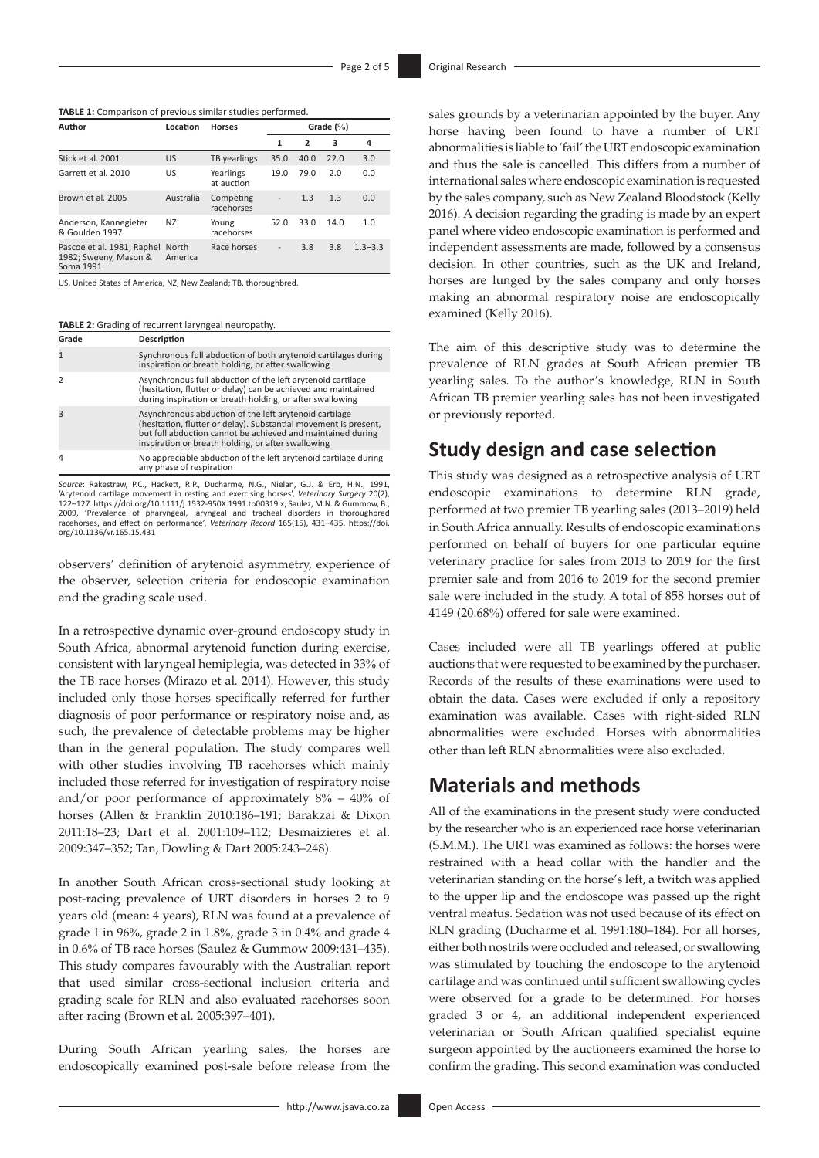**TABLE 1:** Comparison of previous similar studies performed.

| Author                                                           | Location         | <b>Horses</b>           | Grade $(\%)$      |                |      |             |  |  |
|------------------------------------------------------------------|------------------|-------------------------|-------------------|----------------|------|-------------|--|--|
|                                                                  |                  |                         | 1                 | $\overline{2}$ | 3    | 4           |  |  |
| Stick et al. 2001                                                | <b>US</b>        | TB yearlings            | 35.0              | 40.0           | 22.0 | 3.0         |  |  |
| Garrett et al. 2010                                              | US               | Yearlings<br>at auction | 19.0              | 79.0           | 2.0  | 0.0         |  |  |
| Brown et al. 2005                                                | Australia        | Competing<br>racehorses | $\qquad \qquad -$ | 1.3            | 1.3  | 0.0         |  |  |
| Anderson, Kannegieter<br>& Goulden 1997                          | <b>NZ</b>        | Young<br>racehorses     | 52.0              | 33.0           | 14.0 | 1.0         |  |  |
| Pascoe et al. 1981; Raphel<br>1982; Sweeny, Mason &<br>Soma 1991 | North<br>America | Race horses             |                   | 3.8            | 3.8  | $1.3 - 3.3$ |  |  |

US, United States of America, NZ, New Zealand; TB, thoroughbred.

**TABLE 2:** Grading of recurrent laryngeal neuropathy.

| Grade    | Description                                                                                                                                                                                                                                     |
|----------|-------------------------------------------------------------------------------------------------------------------------------------------------------------------------------------------------------------------------------------------------|
|          | Synchronous full abduction of both arytenoid cartilages during<br>inspiration or breath holding, or after swallowing                                                                                                                            |
|          | Asynchronous full abduction of the left arytenoid cartilage<br>(hesitation, flutter or delay) can be achieved and maintained<br>during inspiration or breath holding, or after swallowing                                                       |
|          | Asynchronous abduction of the left arytenoid cartilage<br>(hesitation, flutter or delay). Substantial movement is present,<br>but full abduction cannot be achieved and maintained during<br>inspiration or breath holding, or after swallowing |
| $\Delta$ | No appreciable abduction of the left arytenoid cartilage during<br>any phase of respiration                                                                                                                                                     |

Source: Rakestraw, P.C., Hackett, R.P., Ducharme, N.G., Nielan, G.J. & Erb, H.N., 1991,<br>'Arytenoid cartilage movement in resting and exercising horses', Veterinary Surgery 20(2),<br>122–127. https://doi.org/10.1111/j.1532-950 2009, 'Prevalence of pharyngeal, laryngeal and tracheal disorders in thoroughbred racehorses, and effect on performance', *Veterinary Record* 165(15), 431–435. [https://doi.](https://doi.org/10.1136/vr.165.15.431) [org/10.1136/vr.165.15.431](https://doi.org/10.1136/vr.165.15.431)

observers' definition of arytenoid asymmetry, experience of the observer, selection criteria for endoscopic examination and the grading scale used.

In a retrospective dynamic over-ground endoscopy study in South Africa, abnormal arytenoid function during exercise, consistent with laryngeal hemiplegia, was detected in 33% of the TB race horses (Mirazo et al*.* 2014). However, this study included only those horses specifically referred for further diagnosis of poor performance or respiratory noise and, as such, the prevalence of detectable problems may be higher than in the general population. The study compares well with other studies involving TB racehorses which mainly included those referred for investigation of respiratory noise and/or poor performance of approximately  $8\%$  –  $40\%$  of horses (Allen & Franklin 2010:186–191; Barakzai & Dixon 2011:18–23; Dart et al. 2001:109–112; Desmaizieres et al. 2009:347–352; Tan, Dowling & Dart 2005:243–248).

In another South African cross-sectional study looking at post-racing prevalence of URT disorders in horses 2 to 9 years old (mean: 4 years), RLN was found at a prevalence of grade 1 in 96%, grade 2 in 1.8%, grade 3 in 0.4% and grade 4 in 0.6% of TB race horses (Saulez & Gummow 2009:431–435). This study compares favourably with the Australian report that used similar cross-sectional inclusion criteria and grading scale for RLN and also evaluated racehorses soon after racing (Brown et al*.* 2005:397–401).

During South African yearling sales, the horses are endoscopically examined post-sale before release from the

sales grounds by a veterinarian appointed by the buyer. Any horse having been found to have a number of URT abnormalities is liable to 'fail' the URT endoscopic examination and thus the sale is cancelled. This differs from a number of international sales where endoscopic examination is requested by the sales company, such as New Zealand Bloodstock (Kelly 2016). A decision regarding the grading is made by an expert panel where video endoscopic examination is performed and independent assessments are made, followed by a consensus decision. In other countries, such as the UK and Ireland, horses are lunged by the sales company and only horses making an abnormal respiratory noise are endoscopically examined (Kelly 2016).

The aim of this descriptive study was to determine the prevalence of RLN grades at South African premier TB yearling sales. To the author's knowledge, RLN in South African TB premier yearling sales has not been investigated or previously reported.

# **Study design and case selection**

This study was designed as a retrospective analysis of URT endoscopic examinations to determine RLN grade, performed at two premier TB yearling sales (2013–2019) held in South Africa annually. Results of endoscopic examinations performed on behalf of buyers for one particular equine veterinary practice for sales from 2013 to 2019 for the first premier sale and from 2016 to 2019 for the second premier sale were included in the study. A total of 858 horses out of 4149 (20.68%) offered for sale were examined.

Cases included were all TB yearlings offered at public auctions that were requested to be examined by the purchaser. Records of the results of these examinations were used to obtain the data. Cases were excluded if only a repository examination was available. Cases with right-sided RLN abnormalities were excluded. Horses with abnormalities other than left RLN abnormalities were also excluded.

# **Materials and methods**

All of the examinations in the present study were conducted by the researcher who is an experienced race horse veterinarian (S.M.M.). The URT was examined as follows: the horses were restrained with a head collar with the handler and the veterinarian standing on the horse's left, a twitch was applied to the upper lip and the endoscope was passed up the right ventral meatus. Sedation was not used because of its effect on RLN grading (Ducharme et al*.* 1991:180–184). For all horses, either both nostrils were occluded and released, or swallowing was stimulated by touching the endoscope to the arytenoid cartilage and was continued until sufficient swallowing cycles were observed for a grade to be determined. For horses graded 3 or 4, an additional independent experienced veterinarian or South African qualified specialist equine surgeon appointed by the auctioneers examined the horse to confirm the grading. This second examination was conducted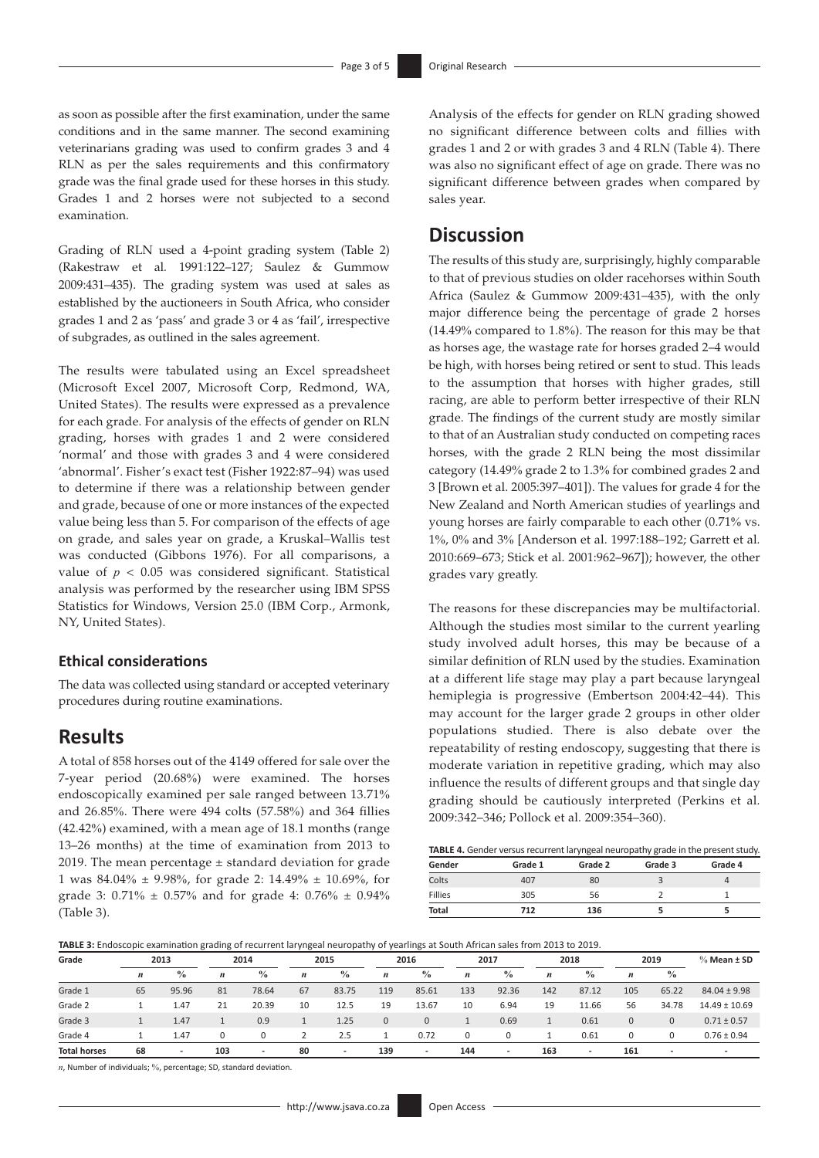as soon as possible after the first examination, under the same conditions and in the same manner. The second examining veterinarians grading was used to confirm grades 3 and 4 RLN as per the sales requirements and this confirmatory grade was the final grade used for these horses in this study. Grades 1 and 2 horses were not subjected to a second examination.

Grading of RLN used a 4-point grading system (Table 2) (Rakestraw et al*.* 1991:122–127; Saulez & Gummow 2009:431–435). The grading system was used at sales as established by the auctioneers in South Africa, who consider grades 1 and 2 as 'pass' and grade 3 or 4 as 'fail', irrespective of subgrades, as outlined in the sales agreement.

The results were tabulated using an Excel spreadsheet (Microsoft Excel 2007, Microsoft Corp, Redmond, WA, United States). The results were expressed as a prevalence for each grade. For analysis of the effects of gender on RLN grading, horses with grades 1 and 2 were considered 'normal' and those with grades 3 and 4 were considered 'abnormal'. Fisher's exact test (Fisher 1922:87–94) was used to determine if there was a relationship between gender and grade, because of one or more instances of the expected value being less than 5. For comparison of the effects of age on grade, and sales year on grade, a Kruskal–Wallis test was conducted (Gibbons 1976). For all comparisons, a value of  $p < 0.05$  was considered significant. Statistical analysis was performed by the researcher using IBM SPSS Statistics for Windows, Version 25.0 (IBM Corp., Armonk, NY, United States).

### **Ethical considerations**

The data was collected using standard or accepted veterinary procedures during routine examinations.

### **Results**

A total of 858 horses out of the 4149 offered for sale over the 7-year period (20.68%) were examined. The horses endoscopically examined per sale ranged between 13.71% and 26.85%. There were 494 colts (57.58%) and 364 fillies (42.42%) examined, with a mean age of 18.1 months (range 13–26 months) at the time of examination from 2013 to 2019. The mean percentage  $\pm$  standard deviation for grade 1 was 84.04% ± 9.98%, for grade 2: 14.49% ± 10.69%, for grade 3:  $0.71\% \pm 0.57\%$  and for grade 4:  $0.76\% \pm 0.94\%$ (Table 3).

Analysis of the effects for gender on RLN grading showed no significant difference between colts and fillies with grades 1 and 2 or with grades 3 and 4 RLN (Table 4). There was also no significant effect of age on grade. There was no significant difference between grades when compared by sales year.

# **Discussion**

The results of this study are, surprisingly, highly comparable to that of previous studies on older racehorses within South Africa (Saulez & Gummow 2009:431–435), with the only major difference being the percentage of grade 2 horses (14.49% compared to 1.8%). The reason for this may be that as horses age, the wastage rate for horses graded 2–4 would be high, with horses being retired or sent to stud. This leads to the assumption that horses with higher grades, still racing, are able to perform better irrespective of their RLN grade. The findings of the current study are mostly similar to that of an Australian study conducted on competing races horses, with the grade 2 RLN being the most dissimilar category (14.49% grade 2 to 1.3% for combined grades 2 and 3 [Brown et al. 2005:397–401]). The values for grade 4 for the New Zealand and North American studies of yearlings and young horses are fairly comparable to each other (0.71% vs. 1%, 0% and 3% [Anderson et al. 1997:188–192; Garrett et al*.* 2010:669–673; Stick et al. 2001:962–967]); however, the other grades vary greatly.

The reasons for these discrepancies may be multifactorial. Although the studies most similar to the current yearling study involved adult horses, this may be because of a similar definition of RLN used by the studies. Examination at a different life stage may play a part because laryngeal hemiplegia is progressive (Embertson 2004:42–44). This may account for the larger grade 2 groups in other older populations studied. There is also debate over the repeatability of resting endoscopy, suggesting that there is moderate variation in repetitive grading, which may also influence the results of different groups and that single day grading should be cautiously interpreted (Perkins et al*.* 2009:342–346; Pollock et al*.* 2009:354–360).

| Gender       | Grade 1 | Grade 2 | Grade 3 | Grade 4 |
|--------------|---------|---------|---------|---------|
| Colts        | 407     | 80      |         |         |
| Fillies      | 305     | 56      |         |         |
| <b>Total</b> | 712     | 136     |         |         |

| TABLE 3: Endoscopic examination grading of recurrent laryngeal neuropathy of yearlings at South African sales from 2013 to 2019. |  |  |  |  |  |  |
|----------------------------------------------------------------------------------------------------------------------------------|--|--|--|--|--|--|
|                                                                                                                                  |  |  |  |  |  |  |
|                                                                                                                                  |  |  |  |  |  |  |

| Grade<br>2013       |                  | 2014                     |                  | 2015                     |                  |                          | 2016             |                          | 2017             |                          | 2018             |                          | 2019         | $%$ Mean $±$ SD          |                          |
|---------------------|------------------|--------------------------|------------------|--------------------------|------------------|--------------------------|------------------|--------------------------|------------------|--------------------------|------------------|--------------------------|--------------|--------------------------|--------------------------|
|                     | $\boldsymbol{n}$ | $\frac{0}{0}$            | $\boldsymbol{n}$ | $\frac{0}{0}$            | $\boldsymbol{n}$ | $\frac{0}{0}$            | $\boldsymbol{n}$ | $\frac{0}{0}$            | $\boldsymbol{n}$ | $\frac{0}{0}$            | $\boldsymbol{n}$ | $\frac{0}{0}$            | n            | $\frac{0}{0}$            |                          |
| Grade 1             | 65               | 95.96                    | 81               | 78.64                    | 67               | 83.75                    | 119              | 85.61                    | 133              | 92.36                    | 142              | 87.12                    | 105          | 65.22                    | $84.04 \pm 9.98$         |
| Grade 2             |                  | 1.47                     | 21               | 20.39                    | 10               | 12.5                     | 19               | 13.67                    | 10               | 6.94                     | 19               | 11.66                    | 56           | 34.78                    | $14.49 \pm 10.69$        |
| Grade 3             |                  | 1.47                     |                  | 0.9                      | ᅩ                | 1.25                     | $\mathbf{0}$     | $\mathbf 0$              |                  | 0.69                     | ı.               | 0.61                     | $\mathbf{0}$ | $\mathbf{0}$             | $0.71 \pm 0.57$          |
| Grade 4             |                  | 1.47                     | 0                |                          |                  | 2.5                      |                  | 0.72                     | $\Omega$         | 0                        |                  | 0.61                     |              | 0                        | $0.76 \pm 0.94$          |
| <b>Total horses</b> | 68               | $\overline{\phantom{a}}$ | 103              | $\overline{\phantom{a}}$ | 80               | $\overline{\phantom{a}}$ | 139              | $\overline{\phantom{a}}$ | 144              | $\overline{\phantom{a}}$ | 163              | $\overline{\phantom{a}}$ | 161          | $\overline{\phantom{a}}$ | $\overline{\phantom{a}}$ |

*n*, Number of individuals; %, percentage; SD, standard deviation.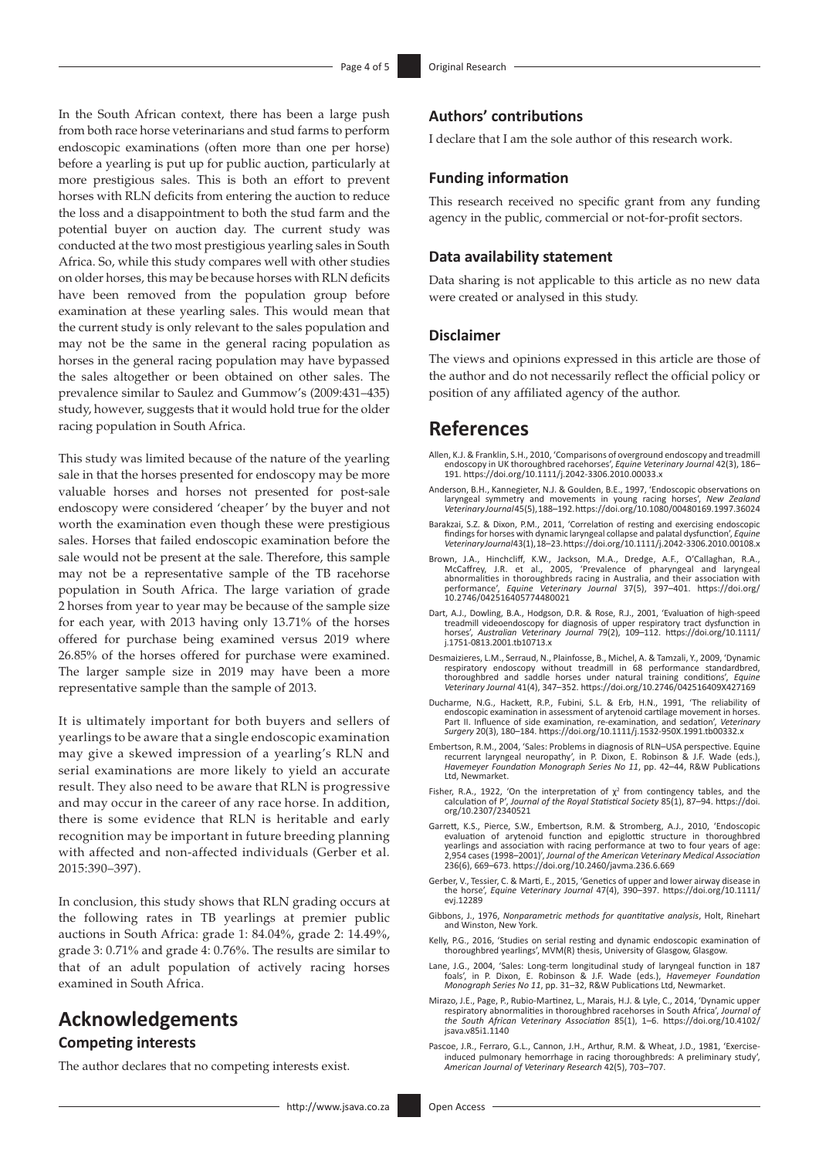In the South African context, there has been a large push from both race horse veterinarians and stud farms to perform endoscopic examinations (often more than one per horse) before a yearling is put up for public auction, particularly at more prestigious sales. This is both an effort to prevent horses with RLN deficits from entering the auction to reduce the loss and a disappointment to both the stud farm and the potential buyer on auction day. The current study was conducted at the two most prestigious yearling sales in South Africa. So, while this study compares well with other studies on older horses, this may be because horses with RLN deficits have been removed from the population group before examination at these yearling sales. This would mean that the current study is only relevant to the sales population and may not be the same in the general racing population as horses in the general racing population may have bypassed the sales altogether or been obtained on other sales. The prevalence similar to Saulez and Gummow's (2009:431–435) study, however, suggests that it would hold true for the older racing population in South Africa.

This study was limited because of the nature of the yearling sale in that the horses presented for endoscopy may be more valuable horses and horses not presented for post-sale endoscopy were considered 'cheaper' by the buyer and not worth the examination even though these were prestigious sales. Horses that failed endoscopic examination before the sale would not be present at the sale. Therefore, this sample may not be a representative sample of the TB racehorse population in South Africa. The large variation of grade 2 horses from year to year may be because of the sample size for each year, with 2013 having only 13.71% of the horses offered for purchase being examined versus 2019 where 26.85% of the horses offered for purchase were examined. The larger sample size in 2019 may have been a more representative sample than the sample of 2013.

It is ultimately important for both buyers and sellers of yearlings to be aware that a single endoscopic examination may give a skewed impression of a yearling's RLN and serial examinations are more likely to yield an accurate result. They also need to be aware that RLN is progressive and may occur in the career of any race horse. In addition, there is some evidence that RLN is heritable and early recognition may be important in future breeding planning with affected and non-affected individuals (Gerber et al*.* 2015:390–397).

In conclusion, this study shows that RLN grading occurs at the following rates in TB yearlings at premier public auctions in South Africa: grade 1: 84.04%, grade 2: 14.49%, grade 3: 0.71% and grade 4: 0.76%. The results are similar to that of an adult population of actively racing horses examined in South Africa.

## **Acknowledgements Competing interests**

The author declares that no competing interests exist.

### **Authors' contributions**

I declare that I am the sole author of this research work.

#### **Funding information**

This research received no specific grant from any funding agency in the public, commercial or not-for-profit sectors.

#### **Data availability statement**

Data sharing is not applicable to this article as no new data were created or analysed in this study.

#### **Disclaimer**

The views and opinions expressed in this article are those of the author and do not necessarily reflect the official policy or position of any affiliated agency of the author.

### **References**

- Allen, K.J. & Franklin, S.H., 2010, 'Comparisons of overground endoscopy and treadmill endoscopy in UK thoroughbred racehorses', *Equine Veterinary Journal* 42(3), 186– 191.<https://doi.org/10.1111/j.2042-3306.2010.00033.x>
- Anderson, B.H., Kannegieter, N.J. & Goulden, B.E., 1997, 'Endoscopic observations on laryngeal symmetry and movements in young racing horses', *New Zealand Veterinary Journal* 45(5), 188–192.<https://doi.org/10.1080/00480169.1997.36024>
- Barakzai, S.Z. & Dixon, P.M., 2011, 'Correlation of resting and exercising endoscopic findings for horses with dynamic laryngeal collapse and palatal dysfunction', *Equine Veterinary Journal* 43(1), 18–23.<https://doi.org/10.1111/j.2042-3306.2010.00108.x>
- Brown, J.A., Hinchcliff, K.W., Jackson, M.A., Dredge, A.F., O'Callaghan, R.A., McCaffrey, J.R. et al., 2005, 'Prevalence of pharyngeal and laryngeal abnormalities in thoroughbreds racing in Australia, and their association performance', *Equine Veterinary Journal* 37(5), 397–401. [https://doi.org/](https://doi.org/10.2746/042516405774480021) performance, equine vecents<br>[10.2746/042516405774480021](https://doi.org/10.2746/042516405774480021)
- Dart, A.J., Dowling, B.A., Hodgson, D.R. & Rose, R.J., 2001, 'Evaluation of high-speed treadmill videoendoscopy for diagnosis of upper respiratory tract dysfunction in horses', *Australian Veterinary Journal* 79(2), 109–112. [https://doi.org/10.1111/](https://doi.org/10.1111/​j.1751-0813.2001.tb10713.x) [j.1751-0813.2001.tb10713.x](https://doi.org/10.1111/​j.1751-0813.2001.tb10713.x)
- Desmaizieres, L.M., Serraud, N., Plainfosse, B., Michel, A. & Tamzali, Y., 2009, 'Dynamic respiratory endoscopy without treadmill in 68 performance standardbred,<br>thoroughbred and saddle horses under natural training conditions', Equine<br>Veterinary Journal 41(4), 347–352.<https://doi.org/10.2746/042516409X427169>
- Ducharme, N.G., Hackett, R.P., Fubini, S.L. & Erb, H.N., 1991, 'The reliability of endoscopic examination in assessment of arytenoid cartilage movement in horses. Part II. Influence of side examination, re-examination, and sedation', *Veterinary Surgery* 20(3), 180–184. <https://doi.org/10.1111/j.1532-950X.1991.tb00332.x>
- Embertson, R.M., 2004, 'Sales: Problems in diagnosis of RLN-USA perspective. Equine<br>recurrent laryngeal neuropathy', in P. Dixon, E. Robinson & J.F. Wade (eds.),<br>Havemeyer Foundation Monograph Series No 11, pp. 42–44, R&W Ltd, Newmarket.
- Fisher, R.A., 1922, 'On the interpretation of χ<sup>2</sup> from contingency tables, and the calculation of P', *Journal of the Royal Statistical Society* 85(1), 87–94. [https://doi.](https://doi.org/10.2307/2340521) [org/10.2307/2340521](https://doi.org/10.2307/2340521)
- Garrett, K.S., Pierce, S.W., Embertson, R.M. & Stromberg, A.J., 2010, 'Endoscopic evaluation of arytenoid function and epiglottic structure in thoroughbred yearlings and association with racing performance at two to four years of age: 2,954 cases (1998–2001)', *Journal of the American Veterinary Medical Association* 236(6), 669–673.<https://doi.org/10.2460/javma.236.6.669>
- Gerber, V., Tessier, C. & Marti, E., 2015, 'Genetics of upper and lower airway disease in the horse', *Equine Veterinary Journal* 47(4), 390–397. [https://doi.org/10.1111/](https://doi.org/10.1111/evj.12289) evj.1228<sup>c</sup>
- Gibbons, J., 1976, *Nonparametric methods for quantitative analysis*, Holt, Rinehart and Winston, New York.
- Kelly, P.G., 2016, 'Studies on serial resting and dynamic endoscopic examination of thoroughbred yearlings', MVM(R) thesis, University of Glasgow, Glasgow.
- Lane, J.G., 2004, 'Sales: Long-term longitudinal study of laryngeal function in 187 foals', in P. Dixon, E. Robinson & J.F. Wade (eds.), *Havemeyer Foundation Monograph Series No 11*, pp. 31–32, R&W Publications Ltd, Newmarket.
- Mirazo, J.E., Page, P., Rubio-Martinez, L., Marais, H.J. & Lyle, C., 2014, 'Dynamic upper respiratory abnormalities in thoroughbred racehorses in South Africa', *Journal* respiratory abnormalities in thoroughbred racehorses in South Africa', *Journal the South African Veterinary Association* 85(1), 1–6. [https://doi.org/10.4102/](https://doi.org/10.4102/jsava.v85i1.1140) [jsava.v85i1.1140](https://doi.org/10.4102/jsava.v85i1.1140)
- Pascoe, J.R., Ferraro, G.L., Cannon, J.H., Arthur, R.M. & Wheat, J.D., 1981, 'Exerciseinduced pulmonary hemorrhage in racing thoroughbreds: A preliminary study', *American Journal of Veterinary Research* 42(5), 703–707.